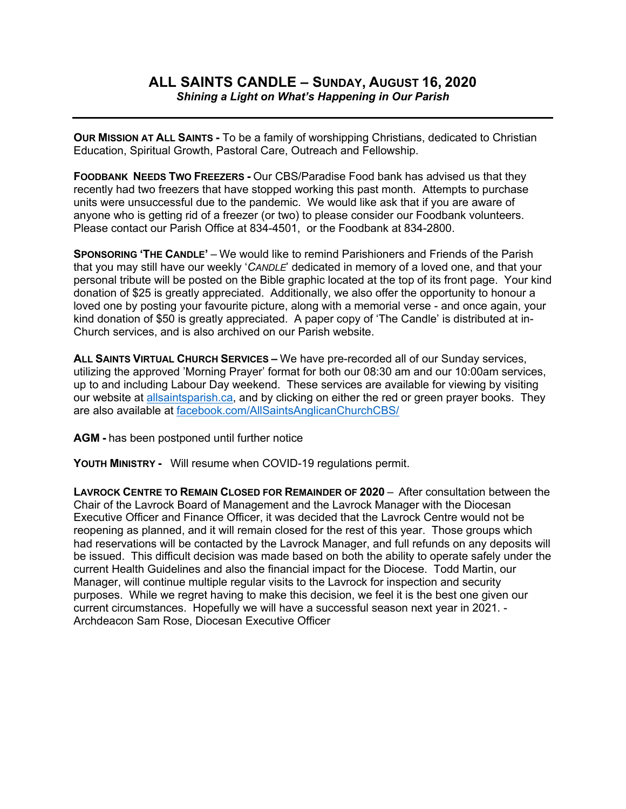## **ALL SAINTS CANDLE – SUNDAY, AUGUST 16, 2020** *Shining a Light on What's Happening in Our Parish*

**OUR MISSION AT ALL SAINTS -** To be a family of worshipping Christians, dedicated to Christian Education, Spiritual Growth, Pastoral Care, Outreach and Fellowship.

**FOODBANK NEEDS TWO FREEZERS -** Our CBS/Paradise Food bank has advised us that they recently had two freezers that have stopped working this past month. Attempts to purchase units were unsuccessful due to the pandemic. We would like ask that if you are aware of anyone who is getting rid of a freezer (or two) to please consider our Foodbank volunteers. Please contact our Parish Office at 834-4501, or the Foodbank at 834-2800.

**SPONSORING 'THE CANDLE'** – We would like to remind Parishioners and Friends of the Parish that you may still have our weekly '*CANDLE*' dedicated in memory of a loved one, and that your personal tribute will be posted on the Bible graphic located at the top of its front page. Your kind donation of \$25 is greatly appreciated. Additionally, we also offer the opportunity to honour a loved one by posting your favourite picture, along with a memorial verse - and once again, your kind donation of \$50 is greatly appreciated. A paper copy of 'The Candle' is distributed at in-Church services, and is also archived on our Parish website.

**ALL SAINTS VIRTUAL CHURCH SERVICES –** We have pre-recorded all of our Sunday services, utilizing the approved 'Morning Prayer' format for both our 08:30 am and our 10:00am services, up to and including Labour Day weekend. These services are available for viewing by visiting our website at allsaintsparish.ca, and by clicking on either the red or green prayer books. They are also available at facebook.com/AllSaintsAnglicanChurchCBS/

**AGM -** has been postponed until further notice

**YOUTH MINISTRY -** Will resume when COVID-19 regulations permit.

**LAVROCK CENTRE TO REMAIN CLOSED FOR REMAINDER OF 2020** – After consultation between the Chair of the Lavrock Board of Management and the Lavrock Manager with the Diocesan Executive Officer and Finance Officer, it was decided that the Lavrock Centre would not be reopening as planned, and it will remain closed for the rest of this year. Those groups which had reservations will be contacted by the Lavrock Manager, and full refunds on any deposits will be issued. This difficult decision was made based on both the ability to operate safely under the current Health Guidelines and also the financial impact for the Diocese. Todd Martin, our Manager, will continue multiple regular visits to the Lavrock for inspection and security purposes. While we regret having to make this decision, we feel it is the best one given our current circumstances. Hopefully we will have a successful season next year in 2021. - Archdeacon Sam Rose, Diocesan Executive Officer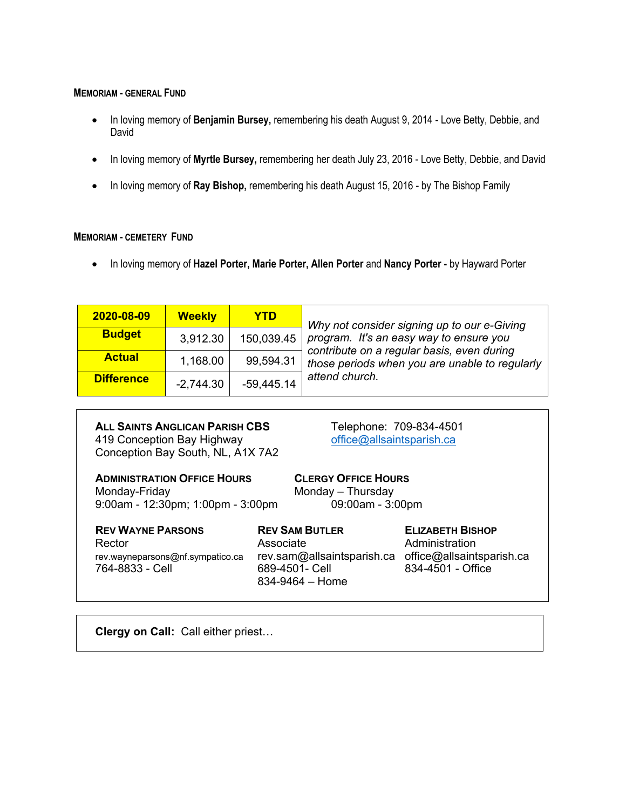## **MEMORIAM - GENERAL FUND**

- In loving memory of **Benjamin Bursey,** remembering his death August 9, 2014 Love Betty, Debbie, and David
- In loving memory of **Myrtle Bursey,** remembering her death July 23, 2016 Love Betty, Debbie, and David
- In loving memory of **Ray Bishop,** remembering his death August 15, 2016 by The Bishop Family

## **MEMORIAM - CEMETERY FUND**

• In loving memory of **Hazel Porter, Marie Porter, Allen Porter** and **Nancy Porter -** by Hayward Porter

| 2020-08-09        | <b>Weekly</b> | <b>YTD</b>   | Why not consider signing up to our e-Giving<br>program. It's an easy way to ensure you<br>contribute on a regular basis, even during<br>those periods when you are unable to regularly<br>attend church. |
|-------------------|---------------|--------------|----------------------------------------------------------------------------------------------------------------------------------------------------------------------------------------------------------|
| <b>Budget</b>     | 3,912.30      | 150,039.45   |                                                                                                                                                                                                          |
| <b>Actual</b>     | 1,168.00      | 99,594.31    |                                                                                                                                                                                                          |
| <b>Difference</b> | $-2,744.30$   | $-59,445.14$ |                                                                                                                                                                                                          |

| <b>ALL SAINTS ANGLICAN PARISH CBS</b> |
|---------------------------------------|
| 419 Conception Bay Highway            |
| Conception Bay South, NL, A1X 7A2     |

**ALL SAINTS ANGLICAN PARISH CBS** Telephone: 709-834-4501 office@allsaintsparish.ca

**ADMINISTRATION OFFICE HOURS CLERGY OFFICE HOURS** Monday-Friday Monday – Thursday 9:00am - 12:30pm; 1:00pm - 3:00pm

| <b>REV WAYNE PARSONS</b>                            | <b>REV SAM BUTLER</b>                                                                                | <b>ELIZABETH BISHOP</b> |
|-----------------------------------------------------|------------------------------------------------------------------------------------------------------|-------------------------|
| Rector                                              | Associate                                                                                            | Administration          |
| rev.wayneparsons@nf.sympatico.ca<br>764-8833 - Cell | rev.sam@allsaintsparish.ca office@allsaintsparish.ca<br>689-4501- Cell<br>$834 - 9464 - \text{Home}$ | $834 - 4501 -$ Office   |

**Clergy on Call:** Call either priest…